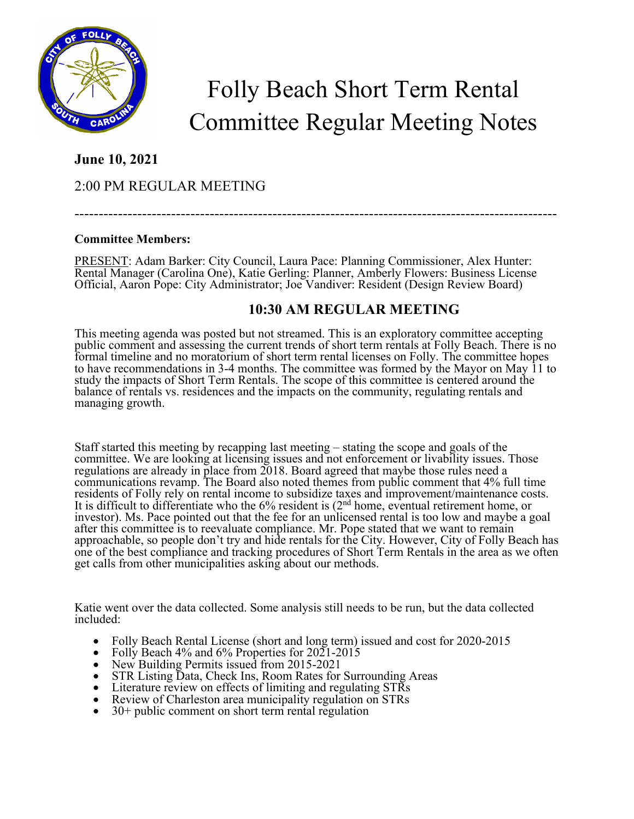

# Folly Beach Short Term Rental Committee Regular Meeting Notes

### **June 10, 2021**

## 2:00 PM REGULAR MEETING

# ----------------------------------------------------------------------------------------------------

#### **Committee Members:**

PRESENT: Adam Barker: City Council, Laura Pace: Planning Commissioner, Alex Hunter: Rental Manager (Carolina One), Katie Gerling: Planner, Amberly Flowers: Business License Official, Aaron Pope: City Administrator; Joe Vandiver: Resident (Design Review Board)

# **10:30 AM REGULAR MEETING**

This meeting agenda was posted but not streamed. This is an exploratory committee accepting public comment and assessing the current trends of short term rentals at Folly Beach. There is no formal timeline and no moratorium of short term rental licenses on Folly. The committee hopes to have recommendations in 3-4 months. The committee was formed by the Mayor on May 11 to study the impacts of Short Term Rentals. The scope of this committee is centered around the balance of rentals vs. residences and the impacts on the community, regulating rentals and managing growth.

Staff started this meeting by recapping last meeting – stating the scope and goals of the committee. We are looking at licensing issues and not enforcement or livability issues. Those regulations are already in place from 2018. Board agreed that maybe those rules need a communications revamp. The Board also noted themes from public comment that 4% full time residents of Folly rely on rental income to subsidize taxes and improvement/maintenance costs. It is difficult to differentiate who the  $6\%$  resident is  $(2<sup>nd</sup>$  home, eventual retirement home, or investor). Ms. Pace pointed out that the fee for an unlicensed rental is too low and maybe a goal after this committee is to reevaluate compliance. Mr. Pope stated that we want to remain approachable, so people don't try and hide rentals for the City. However, City of Folly Beach has one of the best compliance and tracking procedures of Short Term Rentals in the area as we often get calls from other municipalities asking about our methods.

Katie went over the data collected. Some analysis still needs to be run, but the data collected included:

- Folly Beach Rental License (short and long term) issued and cost for 2020-2015<br>
Folly Beach 4% and 6% Properties for 2021-2015<br>
New Building Permits issued from 2015-2021<br>
STR Listing Data, Check Ins, Room Rates fo
- 
- 
- 
- 
- 
-